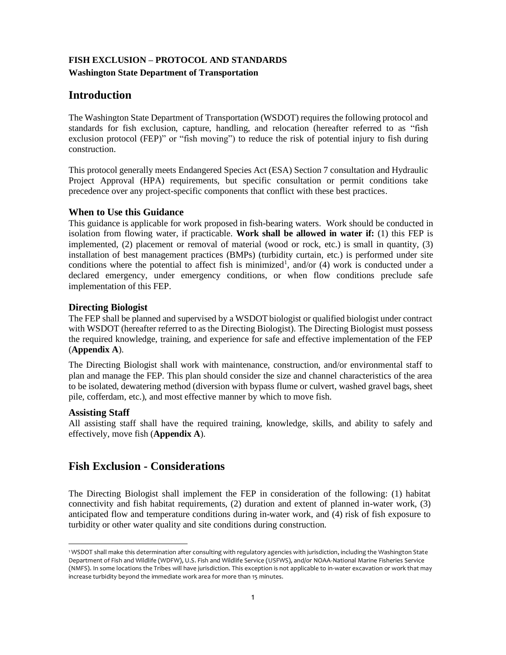## **FISH EXCLUSION – PROTOCOL AND STANDARDS Washington State Department of Transportation**

# **Introduction**

The Washington State Department of Transportation (WSDOT) requires the following protocol and standards for fish exclusion, capture, handling, and relocation (hereafter referred to as "fish exclusion protocol (FEP)" or "fish moving") to reduce the risk of potential injury to fish during construction.

This protocol generally meets Endangered Species Act (ESA) Section 7 consultation and Hydraulic Project Approval (HPA) requirements, but specific consultation or permit conditions take precedence over any project-specific components that conflict with these best practices.

## **When to Use this Guidance**

This guidance is applicable for work proposed in fish-bearing waters. Work should be conducted in isolation from flowing water, if practicable. **Work shall be allowed in water if:** (1) this FEP is implemented, (2) placement or removal of material (wood or rock, etc.) is small in quantity, (3) installation of best management practices (BMPs) (turbidity curtain, etc.) is performed under site conditions where the potential to affect fish is minimized<sup>1</sup>, and/or  $(4)$  work is conducted under a declared emergency, under emergency conditions, or when flow conditions preclude safe implementation of this FEP.

## **Directing Biologist**

The FEP shall be planned and supervised by a WSDOT biologist or qualified biologist under contract with WSDOT (hereafter referred to as the Directing Biologist). The Directing Biologist must possess the required knowledge, training, and experience for safe and effective implementation of the FEP (**Appendix A**).

The Directing Biologist shall work with maintenance, construction, and/or environmental staff to plan and manage the FEP. This plan should consider the size and channel characteristics of the area to be isolated, dewatering method (diversion with bypass flume or culvert, washed gravel bags, sheet pile, cofferdam, etc.), and most effective manner by which to move fish.

### **Assisting Staff**

All assisting staff shall have the required training, knowledge, skills, and ability to safely and effectively, move fish (**Appendix A**).

## **Fish Exclusion - Considerations**

The Directing Biologist shall implement the FEP in consideration of the following: (1) habitat connectivity and fish habitat requirements, (2) duration and extent of planned in-water work, (3) anticipated flow and temperature conditions during in-water work, and (4) risk of fish exposure to turbidity or other water quality and site conditions during construction.

<sup>1</sup> WSDOT shall make this determination after consulting with regulatory agencies with jurisdiction, including the Washington State Department of Fish and Wildlife (WDFW), U.S. Fish and Wildlife Service (USFWS), and/or NOAA-National Marine Fisheries Service (NMFS). In some locations the Tribes will have jurisdiction. This exception is not applicable to in-water excavation or work that may increase turbidity beyond the immediate work area for more than 15 minutes.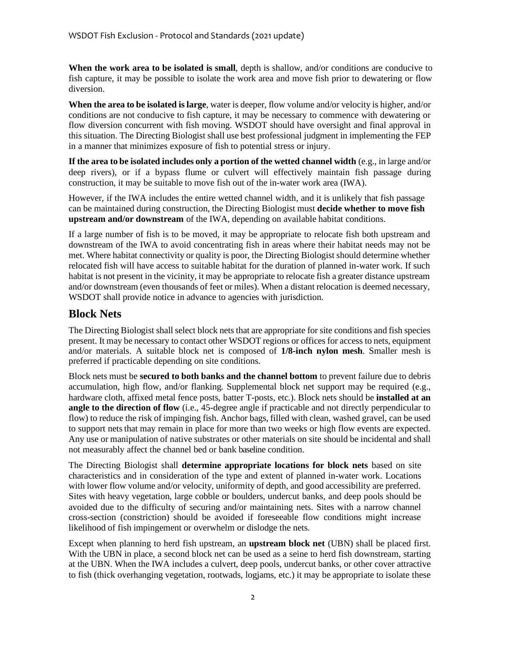**When the work area to be isolated is small**, depth is shallow, and/or conditions are conducive to fish capture, it may be possible to isolate the work area and move fish prior to dewatering or flow diversion.

**When the area to be isolated is large**, water is deeper, flow volume and/or velocity is higher, and/or conditions are not conducive to fish capture, it may be necessary to commence with dewatering or flow diversion concurrent with fish moving. WSDOT should have oversight and final approval in this situation. The Directing Biologist shall use best professional judgment in implementing the FEP in a manner that minimizes exposure of fish to potential stress or injury.

**If the area to be isolated includes only a portion of the wetted channel width** (e.g., in large and/or deep rivers), or if a bypass flume or culvert will effectively maintain fish passage during construction, it may be suitable to move fish out of the in-water work area (IWA).

However, if the IWA includes the entire wetted channel width, and it is unlikely that fish passage can be maintained during construction, the Directing Biologist must **decide whether to move fish upstream and/or downstream** of the IWA, depending on available habitat conditions.

If a large number of fish is to be moved, it may be appropriate to relocate fish both upstream and downstream of the IWA to avoid concentrating fish in areas where their habitat needs may not be met. Where habitat connectivity or quality is poor, the Directing Biologist should determine whether relocated fish will have access to suitable habitat for the duration of planned in-water work. If such habitat is not present in the vicinity, it may be appropriate to relocate fish a greater distance upstream and/or downstream (even thousands of feet or miles). When a distant relocation is deemed necessary, WSDOT shall provide notice in advance to agencies with jurisdiction.

# **Block Nets**

The Directing Biologist shall select block nets that are appropriate for site conditions and fish species present. It may be necessary to contact other WSDOT regions or offices for access to nets, equipment and/or materials. A suitable block net is composed of **1/8-inch nylon mesh**. Smaller mesh is preferred if practicable depending on site conditions.

Block nets must be **secured to both banks and the channel bottom** to prevent failure due to debris accumulation, high flow, and/or flanking. Supplemental block net support may be required (e.g., hardware cloth, affixed metal fence posts, batter T-posts, etc.). Block nets should be **installed at an angle to the direction of flow** (i.e., 45-degree angle if practicable and not directly perpendicular to flow) to reduce the risk of impinging fish. Anchor bags, filled with clean, washed gravel, can be used to support nets that may remain in place for more than two weeks or high flow events are expected. Any use or manipulation of native substrates or other materials on site should be incidental and shall not measurably affect the channel bed or bank baseline condition.

The Directing Biologist shall **determine appropriate locations for block nets** based on site characteristics and in consideration of the type and extent of planned in-water work. Locations with lower flow volume and/or velocity, uniformity of depth, and good accessibility are preferred. Sites with heavy vegetation, large cobble or boulders, undercut banks, and deep pools should be avoided due to the difficulty of securing and/or maintaining nets. Sites with a narrow channel cross-section (constriction) should be avoided if foreseeable flow conditions might increase likelihood of fish impingement or overwhelm or dislodge the nets.

Except when planning to herd fish upstream, an **upstream block net** (UBN) shall be placed first. With the UBN in place, a second block net can be used as a seine to herd fish downstream, starting at the UBN. When the IWA includes a culvert, deep pools, undercut banks, or other cover attractive to fish (thick overhanging vegetation, rootwads, logjams, etc.) it may be appropriate to isolate these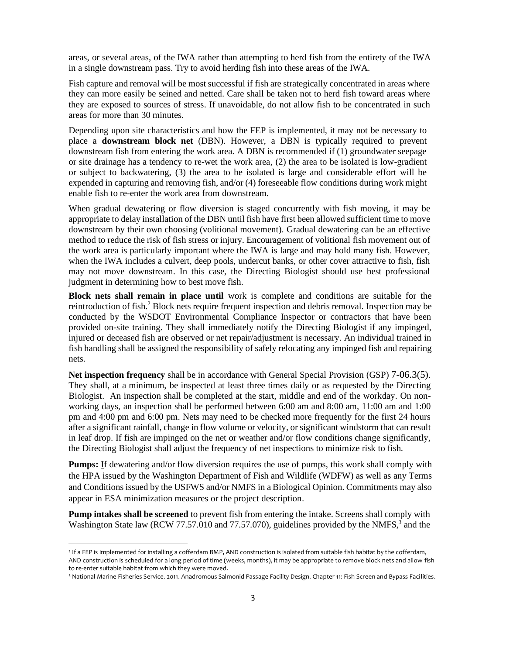areas, or several areas, of the IWA rather than attempting to herd fish from the entirety of the IWA in a single downstream pass. Try to avoid herding fish into these areas of the IWA.

Fish capture and removal will be most successful if fish are strategically concentrated in areas where they can more easily be seined and netted. Care shall be taken not to herd fish toward areas where they are exposed to sources of stress. If unavoidable, do not allow fish to be concentrated in such areas for more than 30 minutes.

Depending upon site characteristics and how the FEP is implemented, it may not be necessary to place a **downstream block net** (DBN). However, a DBN is typically required to prevent downstream fish from entering the work area. A DBN is recommended if (1) groundwater seepage or site drainage has a tendency to re-wet the work area, (2) the area to be isolated is low-gradient or subject to backwatering, (3) the area to be isolated is large and considerable effort will be expended in capturing and removing fish, and/or (4) foreseeable flow conditions during work might enable fish to re-enter the work area from downstream.

When gradual dewatering or flow diversion is staged concurrently with fish moving, it may be appropriate to delay installation of the DBN until fish have first been allowed sufficient time to move downstream by their own choosing (volitional movement). Gradual dewatering can be an effective method to reduce the risk of fish stress or injury. Encouragement of volitional fish movement out of the work area is particularly important where the IWA is large and may hold many fish. However, when the IWA includes a culvert, deep pools, undercut banks, or other cover attractive to fish, fish may not move downstream. In this case, the Directing Biologist should use best professional judgment in determining how to best move fish.

**Block nets shall remain in place until** work is complete and conditions are suitable for the reintroduction of fish.<sup>2</sup> Block nets require frequent inspection and debris removal. Inspection may be conducted by the WSDOT Environmental Compliance Inspector or contractors that have been provided on-site training. They shall immediately notify the Directing Biologist if any impinged, injured or deceased fish are observed or net repair/adjustment is necessary. An individual trained in fish handling shall be assigned the responsibility of safely relocating any impinged fish and repairing nets.

**Net inspection frequency** shall be in accordance with General Special Provision (GSP) 7-06.3(5). They shall, at a minimum, be inspected at least three times daily or as requested by the Directing Biologist. An inspection shall be completed at the start, middle and end of the workday. On nonworking days, an inspection shall be performed between 6:00 am and 8:00 am, 11:00 am and 1:00 pm and 4:00 pm and 6:00 pm. Nets may need to be checked more frequently for the first 24 hours after a significant rainfall, change in flow volume or velocity, or significant windstorm that can result in leaf drop. If fish are impinged on the net or weather and/or flow conditions change significantly, the Directing Biologist shall adjust the frequency of net inspections to minimize risk to fish.

**Pumps:** If dewatering and/or flow diversion requires the use of pumps, this work shall comply with the HPA issued by the Washington Department of Fish and Wildlife (WDFW) as well as any Terms and Conditions issued by the USFWS and/or NMFS in a Biological Opinion. Commitments may also appear in ESA minimization measures or the project description.

**Pump intakes shall be screened** to prevent fish from entering the intake. Screens shall comply with Washington State law (RCW 77.57.010 and 77.57.070), guidelines provided by the NMFS,<sup>3</sup> and the

<sup>2</sup> If a FEP is implemented for installing a cofferdam BMP, AND construction is isolated from suitable fish habitat by the cofferdam, AND construction is scheduled for a long period of time (weeks, months), it may be appropriate to remove block nets and allow fish to re-enter suitable habitat from which they were moved.

<sup>3</sup> National Marine Fisheries Service. 2011. Anadromous Salmonid Passage Facility Design. Chapter 11: Fish Screen and Bypass Facilities.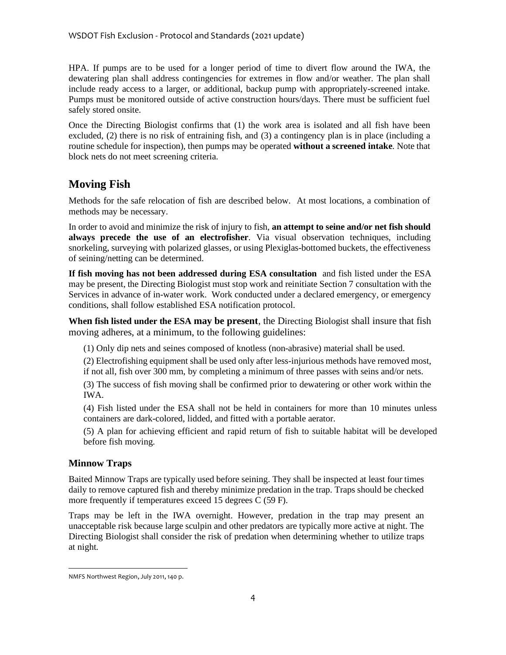HPA. If pumps are to be used for a longer period of time to divert flow around the IWA, the dewatering plan shall address contingencies for extremes in flow and/or weather. The plan shall include ready access to a larger, or additional, backup pump with appropriately-screened intake. Pumps must be monitored outside of active construction hours/days. There must be sufficient fuel safely stored onsite.

Once the Directing Biologist confirms that (1) the work area is isolated and all fish have been excluded, (2) there is no risk of entraining fish, and (3) a contingency plan is in place (including a routine schedule for inspection), then pumps may be operated **without a screened intake**. Note that block nets do not meet screening criteria.

# **Moving Fish**

Methods for the safe relocation of fish are described below. At most locations, a combination of methods may be necessary.

In order to avoid and minimize the risk of injury to fish, **an attempt to seine and/or net fish should always precede the use of an electrofisher**. Via visual observation techniques, including snorkeling, surveying with polarized glasses, or using Plexiglas-bottomed buckets, the effectiveness of seining/netting can be determined.

**If fish moving has not been addressed during ESA consultation** and fish listed under the ESA may be present, the Directing Biologist must stop work and reinitiate Section 7 consultation with the Services in advance of in-water work. Work conducted under a declared emergency, or emergency conditions, shall follow established ESA notification protocol.

**When fish listed under the ESA may be present**, the Directing Biologist shall insure that fish moving adheres, at a minimum, to the following guidelines:

(1) Only dip nets and seines composed of knotless (non-abrasive) material shall be used.

(2) Electrofishing equipment shall be used only after less-injurious methods have removed most, if not all, fish over 300 mm, by completing a minimum of three passes with seins and/or nets.

(3) The success of fish moving shall be confirmed prior to dewatering or other work within the IWA.

(4) Fish listed under the ESA shall not be held in containers for more than 10 minutes unless containers are dark-colored, lidded, and fitted with a portable aerator.

(5) A plan for achieving efficient and rapid return of fish to suitable habitat will be developed before fish moving.

## **Minnow Traps**

Baited Minnow Traps are typically used before seining. They shall be inspected at least four times daily to remove captured fish and thereby minimize predation in the trap. Traps should be checked more frequently if temperatures exceed 15 degrees C (59 F).

Traps may be left in the IWA overnight. However, predation in the trap may present an unacceptable risk because large sculpin and other predators are typically more active at night. The Directing Biologist shall consider the risk of predation when determining whether to utilize traps at night.

NMFS Northwest Region, July 2011, 140 p.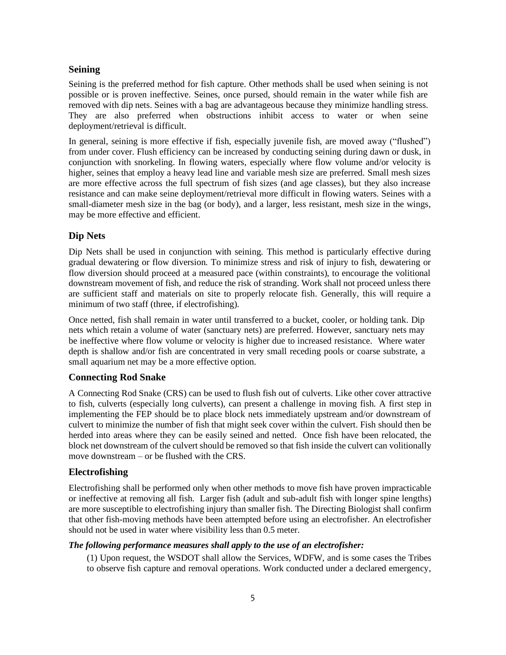### **Seining**

Seining is the preferred method for fish capture. Other methods shall be used when seining is not possible or is proven ineffective. Seines, once pursed, should remain in the water while fish are removed with dip nets. Seines with a bag are advantageous because they minimize handling stress. They are also preferred when obstructions inhibit access to water or when seine deployment/retrieval is difficult.

In general, seining is more effective if fish, especially juvenile fish, are moved away ("flushed") from under cover. Flush efficiency can be increased by conducting seining during dawn or dusk, in conjunction with snorkeling. In flowing waters, especially where flow volume and/or velocity is higher, seines that employ a heavy lead line and variable mesh size are preferred. Small mesh sizes are more effective across the full spectrum of fish sizes (and age classes), but they also increase resistance and can make seine deployment/retrieval more difficult in flowing waters. Seines with a small-diameter mesh size in the bag (or body), and a larger, less resistant, mesh size in the wings, may be more effective and efficient.

### **Dip Nets**

Dip Nets shall be used in conjunction with seining. This method is particularly effective during gradual dewatering or flow diversion. To minimize stress and risk of injury to fish, dewatering or flow diversion should proceed at a measured pace (within constraints), to encourage the volitional downstream movement of fish, and reduce the risk of stranding. Work shall not proceed unless there are sufficient staff and materials on site to properly relocate fish. Generally, this will require a minimum of two staff (three, if electrofishing).

Once netted, fish shall remain in water until transferred to a bucket, cooler, or holding tank. Dip nets which retain a volume of water (sanctuary nets) are preferred. However, sanctuary nets may be ineffective where flow volume or velocity is higher due to increased resistance. Where water depth is shallow and/or fish are concentrated in very small receding pools or coarse substrate, a small aquarium net may be a more effective option.

### **Connecting Rod Snake**

A Connecting Rod Snake (CRS) can be used to flush fish out of culverts. Like other cover attractive to fish, culverts (especially long culverts), can present a challenge in moving fish. A first step in implementing the FEP should be to place block nets immediately upstream and/or downstream of culvert to minimize the number of fish that might seek cover within the culvert. Fish should then be herded into areas where they can be easily seined and netted. Once fish have been relocated, the block net downstream of the culvert should be removed so that fish inside the culvert can volitionally move downstream – or be flushed with the CRS.

#### **Electrofishing**

Electrofishing shall be performed only when other methods to move fish have proven impracticable or ineffective at removing all fish. Larger fish (adult and sub-adult fish with longer spine lengths) are more susceptible to electrofishing injury than smaller fish. The Directing Biologist shall confirm that other fish-moving methods have been attempted before using an electrofisher. An electrofisher should not be used in water where visibility less than 0.5 meter.

#### *The following performance measures shall apply to the use of an electrofisher:*

(1) Upon request, the WSDOT shall allow the Services, WDFW, and is some cases the Tribes to observe fish capture and removal operations. Work conducted under a declared emergency,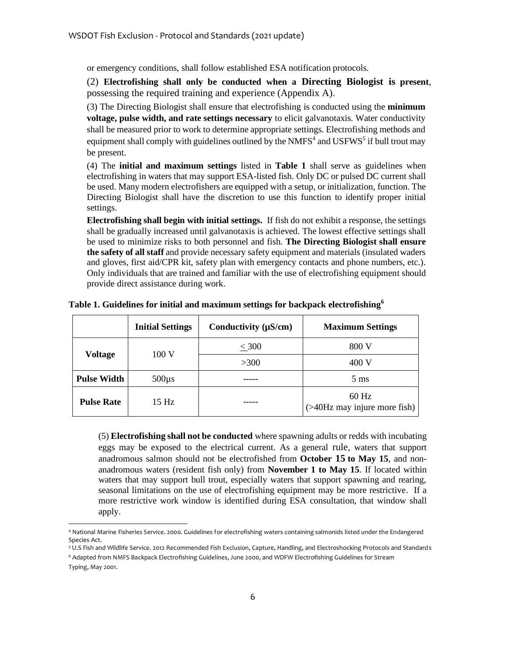or emergency conditions, shall follow established ESA notification protocols.

(2) **Electrofishing shall only be conducted when a Directing Biologist is present**, possessing the required training and experience (Appendix A).

(3) The Directing Biologist shall ensure that electrofishing is conducted using the **minimum voltage, pulse width, and rate settings necessary** to elicit galvanotaxis. Water conductivity shall be measured prior to work to determine appropriate settings. Electrofishing methods and equipment shall comply with guidelines outlined by the NMFS<sup>4</sup> and USFWS<sup>5</sup> if bull trout may be present.

(4) The **initial and maximum settings** listed in **Table 1** shall serve as guidelines when electrofishing in waters that may support ESA-listed fish. Only DC or pulsed DC current shall be used. Many modern electrofishers are equipped with a setup, or initialization, function. The Directing Biologist shall have the discretion to use this function to identify proper initial settings.

**Electrofishing shall begin with initial settings.** If fish do not exhibit a response, the settings shall be gradually increased until galvanotaxis is achieved. The lowest effective settings shall be used to minimize risks to both personnel and fish. **The Directing Biologist shall ensure the safety of all staff** and provide necessary safety equipment and materials (insulated waders and gloves, first aid/CPR kit, safety plan with emergency contacts and phone numbers, etc.). Only individuals that are trained and familiar with the use of electrofishing equipment should provide direct assistance during work.

|                    | <b>Initial Settings</b> | Conductivity $(\mu S/cm)$ | <b>Maximum Settings</b>                 |
|--------------------|-------------------------|---------------------------|-----------------------------------------|
| <b>Voltage</b>     | 100V                    | < 300                     | 800 V                                   |
|                    |                         | >300                      | 400 V                                   |
| <b>Pulse Width</b> | $500\mu s$              |                           | $5 \text{ ms}$                          |
| <b>Pulse Rate</b>  | $15$ Hz                 |                           | $60$ Hz<br>(>40Hz may injure more fish) |

**Table 1. Guidelines for initial and maximum settings for backpack electrofishing<sup>6</sup>**

(5) **Electrofishing shall not be conducted** where spawning adults or redds with incubating eggs may be exposed to the electrical current. As a general rule, waters that support anadromous salmon should not be electrofished from **October 15 to May 15**, and nonanadromous waters (resident fish only) from **November 1 to May 15**. If located within waters that may support bull trout, especially waters that support spawning and rearing, seasonal limitations on the use of electrofishing equipment may be more restrictive. If a more restrictive work window is identified during ESA consultation, that window shall apply.

<sup>4</sup> National Marine Fisheries Service. 2000. Guidelines for electrofishing waters containing salmonids listed under the Endangered Species Act.

<sup>5</sup> U.S Fish and Wildlife Service. 2012 Recommended Fish Exclusion, Capture, Handling, and Electroshocking Protocols and Standards

<sup>6</sup> Adapted from NMFS Backpack Electrofishing Guidelines, June 2000, and WDFW Electrofishing Guidelines for Stream Typing, May 2001.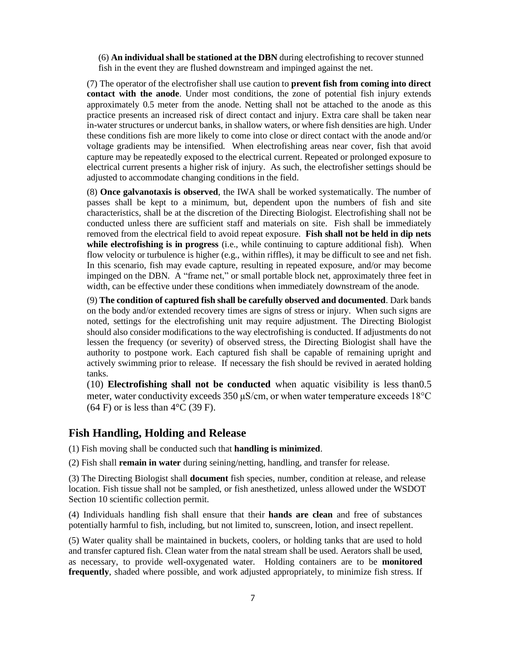(6) **An individual shall be stationed at the DBN** during electrofishing to recover stunned fish in the event they are flushed downstream and impinged against the net.

(7) The operator of the electrofisher shall use caution to **prevent fish from coming into direct contact with the anode**. Under most conditions, the zone of potential fish injury extends approximately 0.5 meter from the anode. Netting shall not be attached to the anode as this practice presents an increased risk of direct contact and injury. Extra care shall be taken near in-water structures or undercut banks, in shallow waters, or where fish densities are high. Under these conditions fish are more likely to come into close or direct contact with the anode and/or voltage gradients may be intensified. When electrofishing areas near cover, fish that avoid capture may be repeatedly exposed to the electrical current. Repeated or prolonged exposure to electrical current presents a higher risk of injury. As such, the electrofisher settings should be adjusted to accommodate changing conditions in the field.

(8) **Once galvanotaxis is observed**, the IWA shall be worked systematically. The number of passes shall be kept to a minimum, but, dependent upon the numbers of fish and site characteristics, shall be at the discretion of the Directing Biologist. Electrofishing shall not be conducted unless there are sufficient staff and materials on site. Fish shall be immediately removed from the electrical field to avoid repeat exposure. **Fish shall not be held in dip nets while electrofishing is in progress** (i.e., while continuing to capture additional fish). When flow velocity or turbulence is higher (e.g., within riffles), it may be difficult to see and net fish. In this scenario, fish may evade capture, resulting in repeated exposure, and/or may become impinged on the DBN. A "frame net," or small portable block net, approximately three feet in width, can be effective under these conditions when immediately downstream of the anode.

(9) **The condition of captured fish shall be carefully observed and documented**. Dark bands on the body and/or extended recovery times are signs of stress or injury. When such signs are noted, settings for the electrofishing unit may require adjustment. The Directing Biologist should also consider modifications to the way electrofishing is conducted. If adjustments do not lessen the frequency (or severity) of observed stress, the Directing Biologist shall have the authority to postpone work. Each captured fish shall be capable of remaining upright and actively swimming prior to release. If necessary the fish should be revived in aerated holding tanks.

(10) **Electrofishing shall not be conducted** when aquatic visibility is less than0.5 meter, water conductivity exceeds 350 μS/cm, or when water temperature exceeds 18°C  $(64 F)$  or is less than  $4^{\circ}$ C (39 F).

## **Fish Handling, Holding and Release**

(1) Fish moving shall be conducted such that **handling is minimized**.

(2) Fish shall **remain in water** during seining/netting, handling, and transfer for release.

(3) The Directing Biologist shall **document** fish species, number, condition at release, and release location. Fish tissue shall not be sampled, or fish anesthetized, unless allowed under the WSDOT Section 10 scientific collection permit.

(4) Individuals handling fish shall ensure that their **hands are clean** and free of substances potentially harmful to fish, including, but not limited to, sunscreen, lotion, and insect repellent.

(5) Water quality shall be maintained in buckets, coolers, or holding tanks that are used to hold and transfer captured fish. Clean water from the natal stream shall be used. Aerators shall be used, as necessary, to provide well-oxygenated water. Holding containers are to be **monitored frequently**, shaded where possible, and work adjusted appropriately, to minimize fish stress. If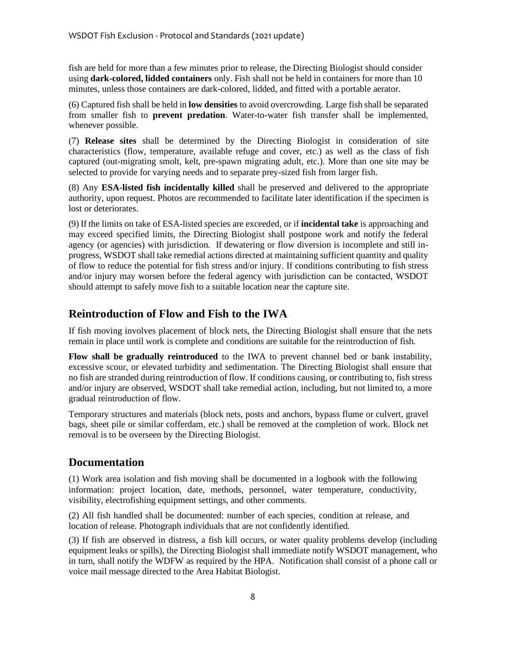fish are held for more than a few minutes prior to release, the Directing Biologist should consider using **dark-colored, lidded containers** only. Fish shall not be held in containers for more than 10 minutes, unless those containers are dark-colored, lidded, and fitted with a portable aerator.

(6) Captured fish shall be held in **low densities** to avoid overcrowding. Large fish shall be separated from smaller fish to **prevent predation**. Water-to-water fish transfer shall be implemented, whenever possible.

(7) **Release sites** shall be determined by the Directing Biologist in consideration of site characteristics (flow, temperature, available refuge and cover, etc.) as well as the class of fish captured (out-migrating smolt, kelt, pre-spawn migrating adult, etc.). More than one site may be selected to provide for varying needs and to separate prey-sized fish from larger fish.

(8) Any **ESA-listed fish incidentally killed** shall be preserved and delivered to the appropriate authority, upon request. Photos are recommended to facilitate later identification if the specimen is lost or deteriorates.

(9) If the limits on take of ESA-listed species are exceeded, or if **incidental take** is approaching and may exceed specified limits, the Directing Biologist shall postpone work and notify the federal agency (or agencies) with jurisdiction. If dewatering or flow diversion is incomplete and still inprogress, WSDOT shall take remedial actions directed at maintaining sufficient quantity and quality of flow to reduce the potential for fish stress and/or injury. If conditions contributing to fish stress and/or injury may worsen before the federal agency with jurisdiction can be contacted, WSDOT should attempt to safely move fish to a suitable location near the capture site.

# **Reintroduction of Flow and Fish to the IWA**

If fish moving involves placement of block nets, the Directing Biologist shall ensure that the nets remain in place until work is complete and conditions are suitable for the reintroduction of fish.

**Flow shall be gradually reintroduced** to the IWA to prevent channel bed or bank instability, excessive scour, or elevated turbidity and sedimentation. The Directing Biologist shall ensure that no fish are stranded during reintroduction of flow. If conditions causing, or contributing to, fish stress and/or injury are observed, WSDOT shall take remedial action, including, but not limited to, a more gradual reintroduction of flow.

Temporary structures and materials (block nets, posts and anchors, bypass flume or culvert, gravel bags, sheet pile or similar cofferdam, etc.) shall be removed at the completion of work. Block net removal is to be overseen by the Directing Biologist.

# **Documentation**

(1) Work area isolation and fish moving shall be documented in a logbook with the following information: project location, date, methods, personnel, water temperature, conductivity, visibility, electrofishing equipment settings, and other comments.

(2) All fish handled shall be documented: number of each species, condition at release, and location of release. Photograph individuals that are not confidently identified.

(3) If fish are observed in distress, a fish kill occurs, or water quality problems develop (including equipment leaks or spills), the Directing Biologist shall immediate notify WSDOT management, who in turn, shall notify the WDFW as required by the HPA. Notification shall consist of a phone call or voice mail message directed to the Area Habitat Biologist.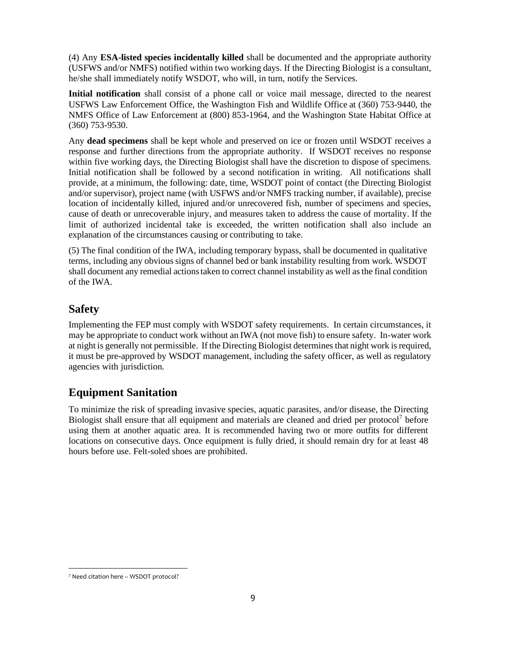(4) Any **ESA-listed species incidentally killed** shall be documented and the appropriate authority (USFWS and/or NMFS) notified within two working days. If the Directing Biologist is a consultant, he/she shall immediately notify WSDOT, who will, in turn, notify the Services.

**Initial notification** shall consist of a phone call or voice mail message, directed to the nearest USFWS Law Enforcement Office, the Washington Fish and Wildlife Office at (360) 753-9440, the NMFS Office of Law Enforcement at (800) 853-1964, and the Washington State Habitat Office at (360) 753-9530.

Any **dead specimens** shall be kept whole and preserved on ice or frozen until WSDOT receives a response and further directions from the appropriate authority. If WSDOT receives no response within five working days, the Directing Biologist shall have the discretion to dispose of specimens. Initial notification shall be followed by a second notification in writing. All notifications shall provide, at a minimum, the following: date, time, WSDOT point of contact (the Directing Biologist and/or supervisor), project name (with USFWS and/or NMFS tracking number, if available), precise location of incidentally killed, injured and/or unrecovered fish, number of specimens and species, cause of death or unrecoverable injury, and measures taken to address the cause of mortality. If the limit of authorized incidental take is exceeded, the written notification shall also include an explanation of the circumstances causing or contributing to take.

(5) The final condition of the IWA, including temporary bypass, shall be documented in qualitative terms, including any obvious signs of channel bed or bank instability resulting from work. WSDOT shall document any remedial actionstaken to correct channel instability as well asthe final condition of the IWA.

# **Safety**

Implementing the FEP must comply with WSDOT safety requirements. In certain circumstances, it may be appropriate to conduct work without an IWA (not move fish) to ensure safety. In-water work at night is generally not permissible. If the Directing Biologist determines that night work is required, it must be pre-approved by WSDOT management, including the safety officer, as well as regulatory agencies with jurisdiction.

# **Equipment Sanitation**

To minimize the risk of spreading invasive species, aquatic parasites, and/or disease, the Directing Biologist shall ensure that all equipment and materials are cleaned and dried per protocol<sup>7</sup> before using them at another aquatic area. It is recommended having two or more outfits for different locations on consecutive days. Once equipment is fully dried, it should remain dry for at least 48 hours before use. Felt-soled shoes are prohibited.

<sup>7</sup> Need citation here – WSDOT protocol?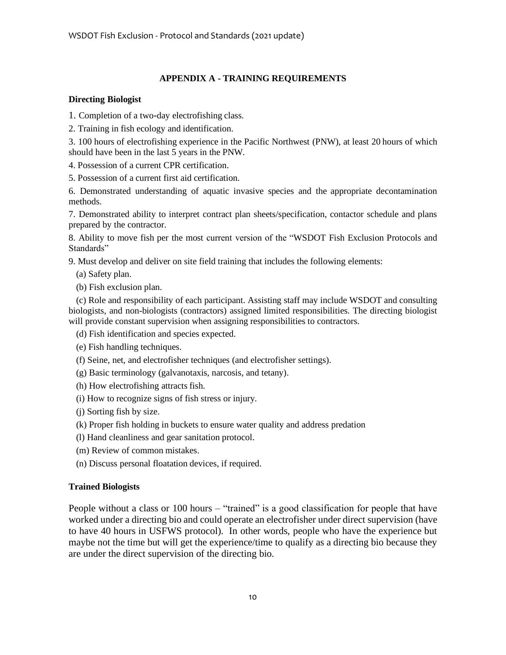### **APPENDIX A - TRAINING REQUIREMENTS**

### **Directing Biologist**

1. Completion of a two-day electrofishing class.

2. Training in fish ecology and identification.

3. 100 hours of electrofishing experience in the Pacific Northwest (PNW), at least 20 hours of which should have been in the last 5 years in the PNW.

4. Possession of a current CPR certification.

5. Possession of a current first aid certification.

6. Demonstrated understanding of aquatic invasive species and the appropriate decontamination methods.

7. Demonstrated ability to interpret contract plan sheets/specification, contactor schedule and plans prepared by the contractor.

8. Ability to move fish per the most current version of the "WSDOT Fish Exclusion Protocols and Standards"

9. Must develop and deliver on site field training that includes the following elements:

- (a) Safety plan.
- (b) Fish exclusion plan.

(c) Role and responsibility of each participant. Assisting staff may include WSDOT and consulting biologists, and non-biologists (contractors) assigned limited responsibilities. The directing biologist will provide constant supervision when assigning responsibilities to contractors.

(d) Fish identification and species expected.

- (e) Fish handling techniques.
- (f) Seine, net, and electrofisher techniques (and electrofisher settings).
- (g) Basic terminology (galvanotaxis, narcosis, and tetany).
- (h) How electrofishing attracts fish.
- (i) How to recognize signs of fish stress or injury.
- (j) Sorting fish by size.
- (k) Proper fish holding in buckets to ensure water quality and address predation
- (l) Hand cleanliness and gear sanitation protocol.
- (m) Review of common mistakes.
- (n) Discuss personal floatation devices, if required.

### **Trained Biologists**

People without a class or 100 hours – "trained" is a good classification for people that have worked under a directing bio and could operate an electrofisher under direct supervision (have to have 40 hours in USFWS protocol). In other words, people who have the experience but maybe not the time but will get the experience/time to qualify as a directing bio because they are under the direct supervision of the directing bio.